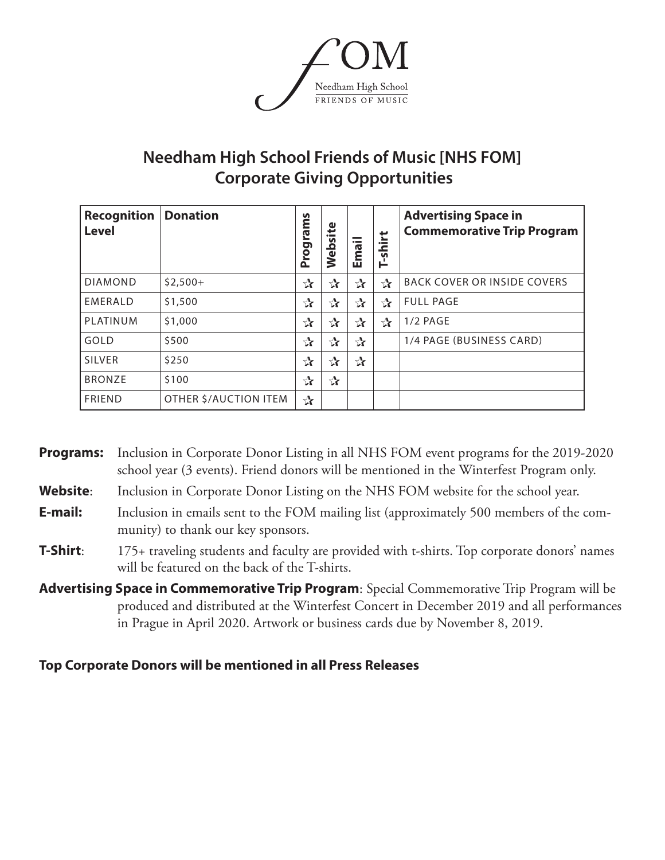

# **Needham High School Friends of Music [NHS FOM] Corporate Giving Opportunities**

| <b>Recognition</b><br><b>Level</b> | <b>Donation</b>       | n<br>rams<br>Progr | 로<br><b>S</b><br>≏<br>Se | $\bullet$ and $\bullet$<br>ma<br>ш | ť<br>$\bullet$ and $\bullet$<br>ᇰ<br>S<br>Ě | <b>Advertising Space in</b><br><b>Commemorative Trip Program</b> |
|------------------------------------|-----------------------|--------------------|--------------------------|------------------------------------|---------------------------------------------|------------------------------------------------------------------|
| <b>DIAMOND</b>                     | $$2,500+$             | $\mathbf{r}$       | $\mathbf{r}$             | $\mathbf{r}$                       | $\mathbf{r}$                                | <b>BACK COVER OR INSIDE COVERS</b>                               |
| EMERALD                            | \$1,500               | $\mathbf{r}$       | $\mathbf{r}$             | $\mathbf{r}$                       | $\mathbf{r}$                                | <b>FULL PAGE</b>                                                 |
| PLATINUM                           | \$1,000               | $\mathbf{r}$       | $\mathbf{r}$             | $\mathbf{r}$                       | $\mathbf{r}$                                | $1/2$ PAGE                                                       |
| GOLD                               | \$500                 | $\mathbf{r}$       | $\mathbf{r}$             | $\mathbf{r}$                       |                                             | 1/4 PAGE (BUSINESS CARD)                                         |
| <b>SILVER</b>                      | \$250                 | $\mathbf{r}$       | $\mathbf{r}$             | $\mathbf{r}$                       |                                             |                                                                  |
| <b>BRONZE</b>                      | \$100                 | $\mathbf{r}$       | $\mathbf{r}$             |                                    |                                             |                                                                  |
| <b>FRIEND</b>                      | OTHER \$/AUCTION ITEM | $\mathbf{r}$       |                          |                                    |                                             |                                                                  |

**Programs:** Inclusion in Corporate Donor Listing in all NHS FOM event programs for the 2019-2020 school year (3 events). Friend donors will be mentioned in the Winterfest Program only.

Website: Inclusion in Corporate Donor Listing on the NHS FOM website for the school year.

- **E-mail:** Inclusion in emails sent to the FOM mailing list (approximately 500 members of the community) to thank our key sponsors.
- **T-Shirt:** 175+ traveling students and faculty are provided with t-shirts. Top corporate donors' names will be featured on the back of the T-shirts.
- **Advertising Space in Commemorative Trip Program**: Special Commemorative Trip Program will be produced and distributed at the Winterfest Concert in December 2019 and all performances in Prague in April 2020. Artwork or business cards due by November 8, 2019.

### **Top Corporate Donors will be mentioned in all Press Releases**